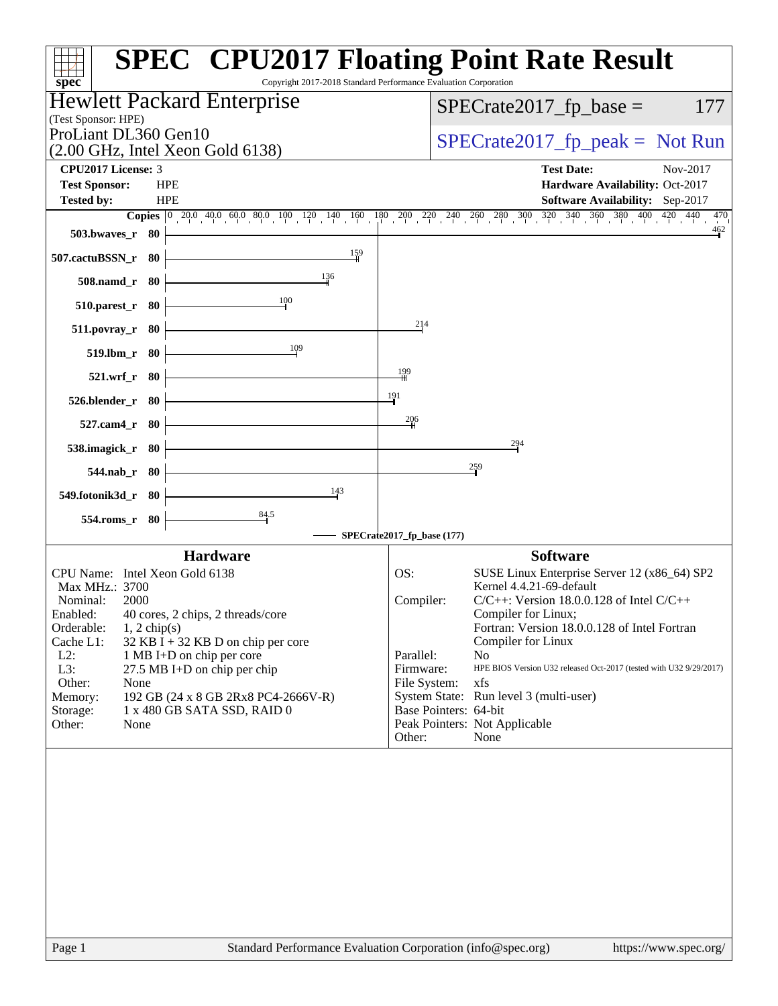| $spec^*$                                                                          | <b>SPEC<sup>®</sup> CPU2017 Floating Point Rate Result</b><br>Copyright 2017-2018 Standard Performance Evaluation Corporation                                                                                     |
|-----------------------------------------------------------------------------------|-------------------------------------------------------------------------------------------------------------------------------------------------------------------------------------------------------------------|
| Hewlett Packard Enterprise<br>(Test Sponsor: HPE)                                 | $SPECrate2017_fp\_base =$<br>177                                                                                                                                                                                  |
| ProLiant DL360 Gen10<br>$(2.00 \text{ GHz}, \text{Intel Xeon Gold } 6138)$        | $SPECrate2017_fp\_peak = Not Run$                                                                                                                                                                                 |
| CPU2017 License: 3                                                                | <b>Test Date:</b><br>Nov-2017                                                                                                                                                                                     |
| <b>Test Sponsor:</b><br><b>HPE</b>                                                | Hardware Availability: Oct-2017                                                                                                                                                                                   |
| <b>HPE</b><br><b>Tested by:</b>                                                   | Software Availability: Sep-2017                                                                                                                                                                                   |
|                                                                                   | <b>Copies</b> $\begin{bmatrix} 0 & 20.0 & 40.0 & 60.0 & 80.0 & 100 & 120 & 140 & 160 & 180 & 200 & 220 & 240 & 260 & 280 & 300 & 320 & 340 & 360 & 380 & 400 & 420 & 440 \end{bmatrix}$<br>470<br>$\frac{462}{9}$ |
| 503.bwaves_r 80<br>159<br>507.cactuBSSN_r 80                                      |                                                                                                                                                                                                                   |
| 136<br>508.namd_r 80                                                              |                                                                                                                                                                                                                   |
| $\frac{100}{1}$<br>$510.parest_r$ 80                                              |                                                                                                                                                                                                                   |
| 511.povray_r 80                                                                   | 214                                                                                                                                                                                                               |
| 109<br>$519.lbm_r$ 80                                                             |                                                                                                                                                                                                                   |
| 521.wrf_r 80                                                                      | 199                                                                                                                                                                                                               |
| 526.blender_r 80                                                                  | $\frac{191}{2}$                                                                                                                                                                                                   |
| 527.cam4_r 80                                                                     | 206                                                                                                                                                                                                               |
| 538.imagick_r 80                                                                  | 294                                                                                                                                                                                                               |
| 544.nab_r 80                                                                      | $\frac{259}{1}$                                                                                                                                                                                                   |
| 143<br>549.fotonik3d_r 80                                                         |                                                                                                                                                                                                                   |
| $\frac{84.5}{7}$<br>554.roms_r 80                                                 |                                                                                                                                                                                                                   |
|                                                                                   | SPECrate2017_fp_base (177)                                                                                                                                                                                        |
| <b>Hardware</b><br>CPU Name: Intel Xeon Gold 6138                                 | <b>Software</b><br>OS:<br>SUSE Linux Enterprise Server 12 (x86_64) SP2                                                                                                                                            |
| Max MHz.: 3700                                                                    | Kernel 4.4.21-69-default                                                                                                                                                                                          |
| Nominal:<br>2000                                                                  | $C/C++$ : Version 18.0.0.128 of Intel $C/C++$<br>Compiler:                                                                                                                                                        |
| Enabled:<br>40 cores, 2 chips, 2 threads/core                                     | Compiler for Linux;                                                                                                                                                                                               |
| Orderable:<br>$1, 2$ chip(s)<br>Cache L1:<br>$32$ KB I + 32 KB D on chip per core | Fortran: Version 18.0.0.128 of Intel Fortran<br>Compiler for Linux                                                                                                                                                |
| $L2$ :<br>1 MB I+D on chip per core                                               | Parallel:<br>N <sub>0</sub>                                                                                                                                                                                       |
| L3:<br>27.5 MB I+D on chip per chip                                               | Firmware:<br>HPE BIOS Version U32 released Oct-2017 (tested with U32 9/29/2017)                                                                                                                                   |
| Other:<br>None<br>Memory:<br>192 GB (24 x 8 GB 2Rx8 PC4-2666V-R)                  | xfs<br>File System:<br>System State: Run level 3 (multi-user)                                                                                                                                                     |
| 1 x 480 GB SATA SSD, RAID 0<br>Storage:                                           | Base Pointers: 64-bit                                                                                                                                                                                             |
| Other:<br>None                                                                    | Peak Pointers: Not Applicable<br>Other:<br>None                                                                                                                                                                   |
|                                                                                   |                                                                                                                                                                                                                   |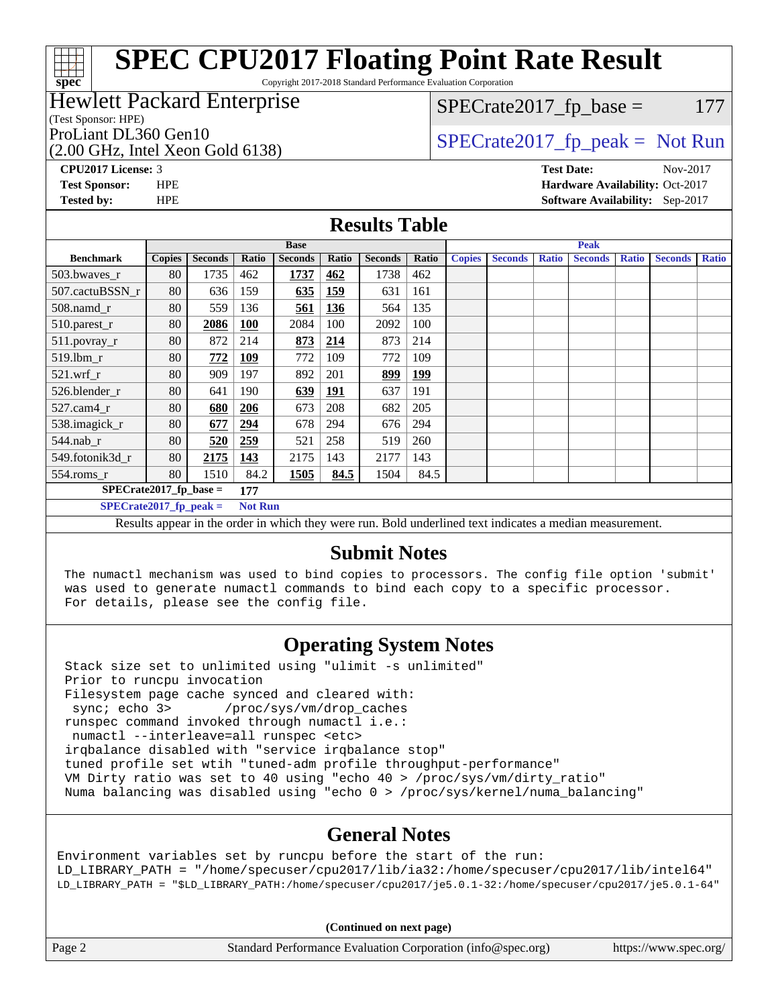Copyright 2017-2018 Standard Performance Evaluation Corporation

#### Hewlett Packard Enterprise

(Test Sponsor: HPE)

**[spec](http://www.spec.org/)**

(2.00 GHz, Intel Xeon Gold 6138)

 $SPECTate2017<sub>fr</sub> base = 177$ 

### ProLiant DL360 Gen10  $SPECTA 6146128$   $SPECTA 62017$  fp\_peak = Not Run

**[CPU2017 License:](http://www.spec.org/auto/cpu2017/Docs/result-fields.html#CPU2017License)** 3 **[Test Date:](http://www.spec.org/auto/cpu2017/Docs/result-fields.html#TestDate)** Nov-2017 **[Test Sponsor:](http://www.spec.org/auto/cpu2017/Docs/result-fields.html#TestSponsor)** HPE **[Hardware Availability:](http://www.spec.org/auto/cpu2017/Docs/result-fields.html#HardwareAvailability)** Oct-2017 **[Tested by:](http://www.spec.org/auto/cpu2017/Docs/result-fields.html#Testedby)** HPE **[Software Availability:](http://www.spec.org/auto/cpu2017/Docs/result-fields.html#SoftwareAvailability)** Sep-2017

#### **[Results Table](http://www.spec.org/auto/cpu2017/Docs/result-fields.html#ResultsTable)**

| <b>Base</b>              |                |            |                |                | <b>Peak</b>    |       |               |                |              |                        |               |                |              |
|--------------------------|----------------|------------|----------------|----------------|----------------|-------|---------------|----------------|--------------|------------------------|---------------|----------------|--------------|
| <b>Copies</b>            | <b>Seconds</b> | Ratio      | <b>Seconds</b> | Ratio          | <b>Seconds</b> | Ratio | <b>Copies</b> | <b>Seconds</b> | <b>Ratio</b> | <b>Seconds</b>         | <b>Ratio</b>  | <b>Seconds</b> | <b>Ratio</b> |
| 80                       | 1735           | 462        | 1737           | 462            | 1738           | 462   |               |                |              |                        |               |                |              |
| 80                       | 636            | 159        | 635            | <b>159</b>     | 631            | 161   |               |                |              |                        |               |                |              |
| 80                       | 559            | 136        | 561            | 136            | 564            | 135   |               |                |              |                        |               |                |              |
| 80                       | 2086           | <b>100</b> | 2084           | 100            | 2092           | 100   |               |                |              |                        |               |                |              |
| 80                       | 872            | 214        | 873            | 214            | 873            | 214   |               |                |              |                        |               |                |              |
| 80                       | 772            | <u>109</u> | 772            | 109            | 772            | 109   |               |                |              |                        |               |                |              |
| 80                       | 909            | 197        | 892            | 201            | 899            | 199   |               |                |              |                        |               |                |              |
| 80                       | 641            | 190        | <u>639</u>     | <u> 191</u>    | 637            | 191   |               |                |              |                        |               |                |              |
| 80                       | 680            | 206        | 673            | 208            | 682            | 205   |               |                |              |                        |               |                |              |
| 80                       | 677            | 294        | 678            | 294            | 676            | 294   |               |                |              |                        |               |                |              |
| 80                       | 520            | 259        | 521            | 258            | 519            | 260   |               |                |              |                        |               |                |              |
| 80                       | 2175           | 143        | 2175           | 143            | 2177           | 143   |               |                |              |                        |               |                |              |
| 80                       | 1510           | 84.2       | 1505           | 84.5           | 1504           | 84.5  |               |                |              |                        |               |                |              |
| $SPECrate2017$ fp base = |                |            |                |                |                |       |               |                |              |                        |               |                |              |
| $SPECrate2017$ fp peak = |                |            |                | <b>Not Run</b> |                |       |               |                |              |                        |               |                |              |
|                          |                |            | 177            |                |                |       |               |                |              | - - -<br>$\sim$ $\sim$ | $\sim$ $\sim$ |                |              |

Results appear in the [order in which they were run.](http://www.spec.org/auto/cpu2017/Docs/result-fields.html#RunOrder) Bold underlined text [indicates a median measurement.](http://www.spec.org/auto/cpu2017/Docs/result-fields.html#Median)

#### **[Submit Notes](http://www.spec.org/auto/cpu2017/Docs/result-fields.html#SubmitNotes)**

 The numactl mechanism was used to bind copies to processors. The config file option 'submit' was used to generate numactl commands to bind each copy to a specific processor. For details, please see the config file.

#### **[Operating System Notes](http://www.spec.org/auto/cpu2017/Docs/result-fields.html#OperatingSystemNotes)**

 Stack size set to unlimited using "ulimit -s unlimited" Prior to runcpu invocation Filesystem page cache synced and cleared with: sync; echo 3> /proc/sys/vm/drop\_caches runspec command invoked through numactl i.e.: numactl --interleave=all runspec <etc> irqbalance disabled with "service irqbalance stop" tuned profile set wtih "tuned-adm profile throughput-performance" VM Dirty ratio was set to 40 using "echo 40 > /proc/sys/vm/dirty\_ratio" Numa balancing was disabled using "echo 0 > /proc/sys/kernel/numa\_balancing"

#### **[General Notes](http://www.spec.org/auto/cpu2017/Docs/result-fields.html#GeneralNotes)**

Environment variables set by runcpu before the start of the run: LD\_LIBRARY\_PATH = "/home/specuser/cpu2017/lib/ia32:/home/specuser/cpu2017/lib/intel64" LD\_LIBRARY\_PATH = "\$LD\_LIBRARY\_PATH:/home/specuser/cpu2017/je5.0.1-32:/home/specuser/cpu2017/je5.0.1-64"

**(Continued on next page)**

| Page 2 | Standard Performance Evaluation Corporation (info@spec.org) |  | https://www.spec.org/ |
|--------|-------------------------------------------------------------|--|-----------------------|
|--------|-------------------------------------------------------------|--|-----------------------|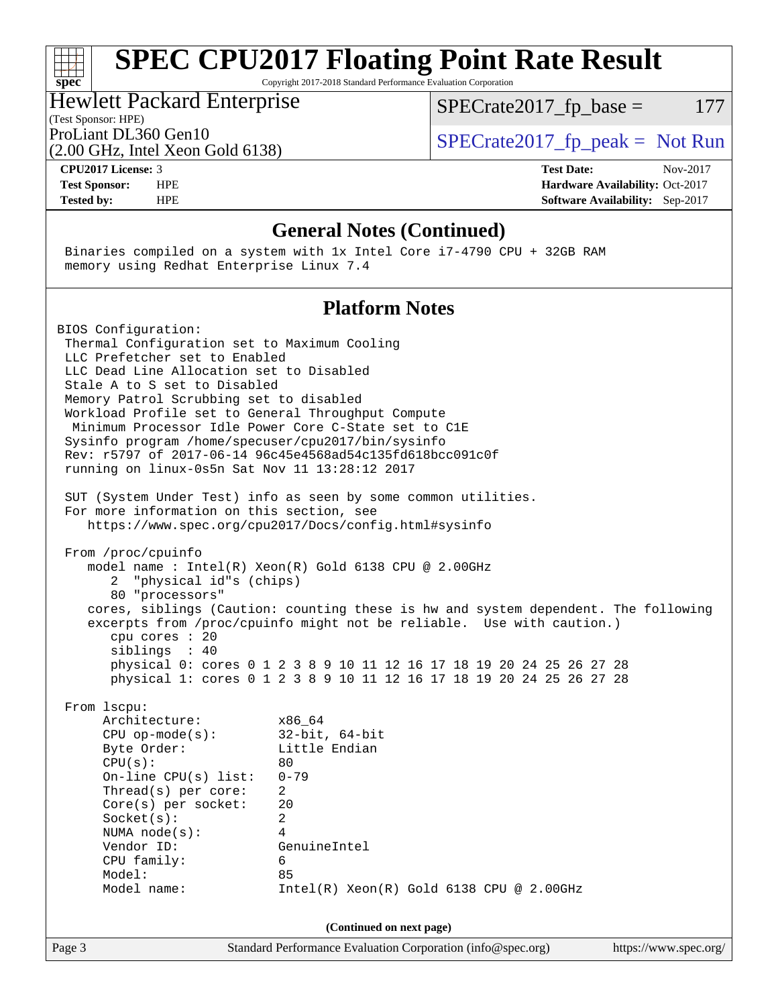Copyright 2017-2018 Standard Performance Evaluation Corporation

#### Hewlett Packard Enterprise

(Test Sponsor: HPE)

 $SPECTate2017<sub>fr</sub> base = 177$ 

(2.00 GHz, Intel Xeon Gold 6138)

ProLiant DL360 Gen10  $SPECTA 6146128$   $SPECTA 62017$  fp\_peak = Not Run

**[spec](http://www.spec.org/)**

**[CPU2017 License:](http://www.spec.org/auto/cpu2017/Docs/result-fields.html#CPU2017License)** 3 **[Test Date:](http://www.spec.org/auto/cpu2017/Docs/result-fields.html#TestDate)** Nov-2017 **[Test Sponsor:](http://www.spec.org/auto/cpu2017/Docs/result-fields.html#TestSponsor)** HPE **[Hardware Availability:](http://www.spec.org/auto/cpu2017/Docs/result-fields.html#HardwareAvailability)** Oct-2017 **[Tested by:](http://www.spec.org/auto/cpu2017/Docs/result-fields.html#Testedby)** HPE **[Software Availability:](http://www.spec.org/auto/cpu2017/Docs/result-fields.html#SoftwareAvailability)** Sep-2017

#### **[General Notes \(Continued\)](http://www.spec.org/auto/cpu2017/Docs/result-fields.html#GeneralNotes)**

 Binaries compiled on a system with 1x Intel Core i7-4790 CPU + 32GB RAM memory using Redhat Enterprise Linux 7.4

#### **[Platform Notes](http://www.spec.org/auto/cpu2017/Docs/result-fields.html#PlatformNotes)**

BIOS Configuration: Thermal Configuration set to Maximum Cooling LLC Prefetcher set to Enabled LLC Dead Line Allocation set to Disabled Stale A to S set to Disabled Memory Patrol Scrubbing set to disabled Workload Profile set to General Throughput Compute Minimum Processor Idle Power Core C-State set to C1E Sysinfo program /home/specuser/cpu2017/bin/sysinfo Rev: r5797 of 2017-06-14 96c45e4568ad54c135fd618bcc091c0f running on linux-0s5n Sat Nov 11 13:28:12 2017 SUT (System Under Test) info as seen by some common utilities. For more information on this section, see <https://www.spec.org/cpu2017/Docs/config.html#sysinfo> From /proc/cpuinfo model name : Intel(R) Xeon(R) Gold 6138 CPU @ 2.00GHz 2 "physical id"s (chips) 80 "processors" cores, siblings (Caution: counting these is hw and system dependent. The following excerpts from /proc/cpuinfo might not be reliable. Use with caution.) cpu cores : 20 siblings : 40 physical 0: cores 0 1 2 3 8 9 10 11 12 16 17 18 19 20 24 25 26 27 28 physical 1: cores 0 1 2 3 8 9 10 11 12 16 17 18 19 20 24 25 26 27 28 From lscpu: Architecture: x86\_64 CPU op-mode(s): 32-bit, 64-bit Byte Order: Little Endian  $CPU(s):$  80 On-line CPU(s) list: 0-79 Thread(s) per core: 2 Core(s) per socket: 20 Socket(s): 2 NUMA node(s): 4 Vendor ID: GenuineIntel CPU family: 6 Model: 85 Model name: Intel(R) Xeon(R) Gold 6138 CPU @ 2.00GHz **(Continued on next page)**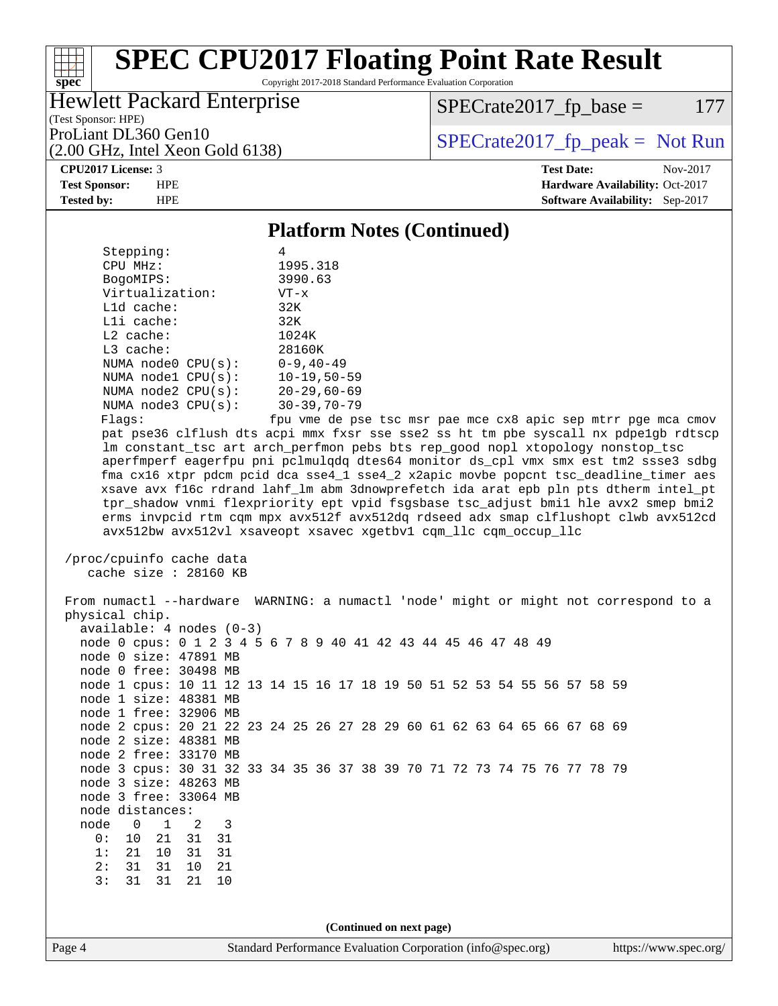Copyright 2017-2018 Standard Performance Evaluation Corporation

### Hewlett Packard Enterprise

 $SPECTate2017<sub>fr</sub> base = 177$ 

(Test Sponsor: HPE) (2.00 GHz, Intel Xeon Gold 6138)

ProLiant DL360 Gen10  $SPECrate2017$  fp\_peak = Not Run

#### **[CPU2017 License:](http://www.spec.org/auto/cpu2017/Docs/result-fields.html#CPU2017License)** 3 **[Test Date:](http://www.spec.org/auto/cpu2017/Docs/result-fields.html#TestDate)** Nov-2017

**[spec](http://www.spec.org/)**

 $\pm\tau$ 

**[Test Sponsor:](http://www.spec.org/auto/cpu2017/Docs/result-fields.html#TestSponsor)** HPE **[Hardware Availability:](http://www.spec.org/auto/cpu2017/Docs/result-fields.html#HardwareAvailability)** Oct-2017 **[Tested by:](http://www.spec.org/auto/cpu2017/Docs/result-fields.html#Testedby)** HPE **[Software Availability:](http://www.spec.org/auto/cpu2017/Docs/result-fields.html#SoftwareAvailability)** Sep-2017

#### **[Platform Notes \(Continued\)](http://www.spec.org/auto/cpu2017/Docs/result-fields.html#PlatformNotes)**

| Stepping:               | 4                  |  |
|-------------------------|--------------------|--|
| CPU MHz:                | 1995.318           |  |
| BogoMIPS:               | 3990.63            |  |
| Virtualization:         | $VT - x$           |  |
| $L1d$ cache:            | 32K                |  |
| $L1i$ cache:            | 32K                |  |
| $L2$ cache:             | 1024K              |  |
| $L3$ cache:             | 28160K             |  |
| NUMA node0 CPU(s):      | $0 - 9, 40 - 49$   |  |
| NUMA $node1$ $CPU(s)$ : | $10 - 19, 50 - 59$ |  |
| NUMA node2 CPU(s):      | $20 - 29,60 - 69$  |  |
| NUMA $node3$ $CPU(s)$ : | $30 - 39, 70 - 79$ |  |
| Flaqs:                  | fpu vme de pse tso |  |
|                         |                    |  |

c msr pae mce cx8 apic sep mtrr pge mca cmov pat pse36 clflush dts acpi mmx fxsr sse sse2 ss ht tm pbe syscall nx pdpe1gb rdtscp lm constant\_tsc art arch\_perfmon pebs bts rep\_good nopl xtopology nonstop\_tsc aperfmperf eagerfpu pni pclmulqdq dtes64 monitor ds\_cpl vmx smx est tm2 ssse3 sdbg fma cx16 xtpr pdcm pcid dca sse4\_1 sse4\_2 x2apic movbe popcnt tsc\_deadline\_timer aes xsave avx f16c rdrand lahf\_lm abm 3dnowprefetch ida arat epb pln pts dtherm intel\_pt tpr\_shadow vnmi flexpriority ept vpid fsgsbase tsc\_adjust bmi1 hle avx2 smep bmi2 erms invpcid rtm cqm mpx avx512f avx512dq rdseed adx smap clflushopt clwb avx512cd avx512bw avx512vl xsaveopt xsavec xgetbv1 cqm\_llc cqm\_occup\_llc

```
 /proc/cpuinfo cache data
cache size : 28160 KB
```
 From numactl --hardware WARNING: a numactl 'node' might or might not correspond to a physical chip. available: 4 nodes (0-3) node 0 cpus: 0 1 2 3 4 5 6 7 8 9 40 41 42 43 44 45 46 47 48 49 node 0 size: 47891 MB node 0 free: 30498 MB node 1 cpus: 10 11 12 13 14 15 16 17 18 19 50 51 52 53 54 55 56 57 58 59 node 1 size: 48381 MB node 1 free: 32906 MB node 2 cpus: 20 21 22 23 24 25 26 27 28 29 60 61 62 63 64 65 66 67 68 69 node 2 size: 48381 MB node 2 free: 33170 MB node 3 cpus: 30 31 32 33 34 35 36 37 38 39 70 71 72 73 74 75 76 77 78 79 node 3 size: 48263 MB node 3 free: 33064 MB node distances: node 0 1 2 3 0: 10 21 31 31 1: 21 10 31 31 2: 31 31 10 21 3: 31 31 21 10 **(Continued on next page)**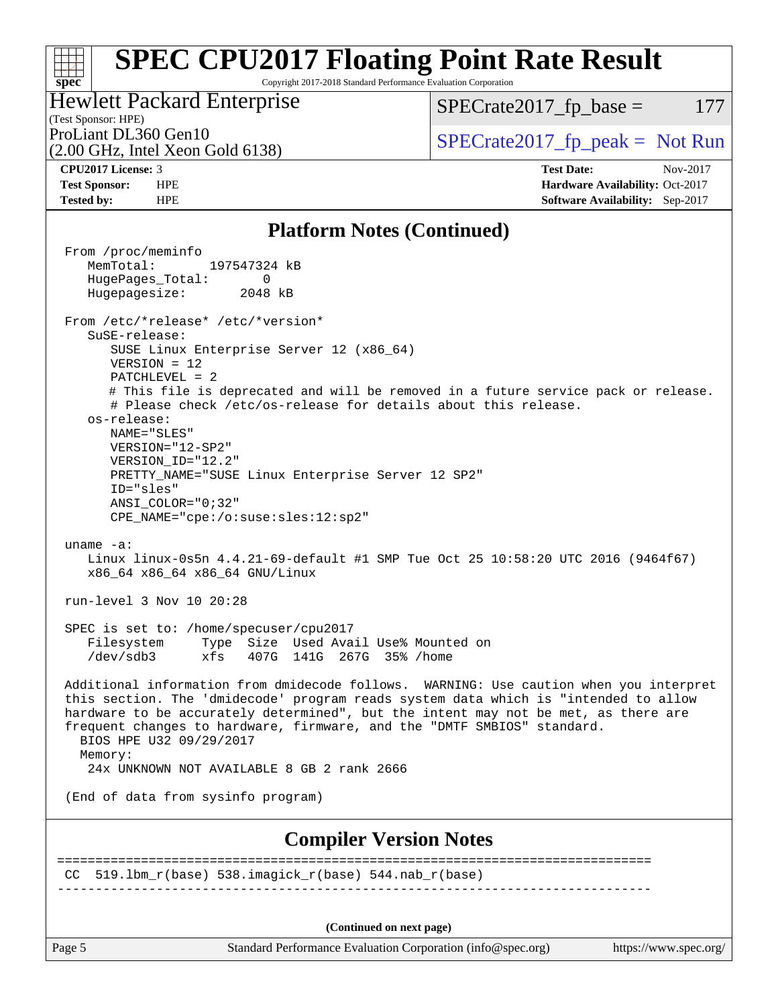Copyright 2017-2018 Standard Performance Evaluation Corporation

#### Hewlett Packard Enterprise

 $SPECTate2017<sub>fr</sub> base = 177$ 

### (Test Sponsor: HPE)

(2.00 GHz, Intel Xeon Gold 6138)

ProLiant DL360 Gen10  $SPECTA 6146128$   $SPECTA 62017$  fp\_peak = Not Run

**[spec](http://www.spec.org/)**

 $\pm r$ 

**[CPU2017 License:](http://www.spec.org/auto/cpu2017/Docs/result-fields.html#CPU2017License)** 3 **[Test Date:](http://www.spec.org/auto/cpu2017/Docs/result-fields.html#TestDate)** Nov-2017 **[Test Sponsor:](http://www.spec.org/auto/cpu2017/Docs/result-fields.html#TestSponsor)** HPE **[Hardware Availability:](http://www.spec.org/auto/cpu2017/Docs/result-fields.html#HardwareAvailability)** Oct-2017 **[Tested by:](http://www.spec.org/auto/cpu2017/Docs/result-fields.html#Testedby)** HPE **[Software Availability:](http://www.spec.org/auto/cpu2017/Docs/result-fields.html#SoftwareAvailability)** Sep-2017

#### **[Platform Notes \(Continued\)](http://www.spec.org/auto/cpu2017/Docs/result-fields.html#PlatformNotes)**

 From /proc/meminfo MemTotal: 197547324 kB HugePages\_Total: 0 Hugepagesize: 2048 kB From /etc/\*release\* /etc/\*version\* SuSE-release: SUSE Linux Enterprise Server 12 (x86\_64) VERSION = 12 PATCHLEVEL = 2 # This file is deprecated and will be removed in a future service pack or release. # Please check /etc/os-release for details about this release. os-release: NAME="SLES" VERSION="12-SP2" VERSION\_ID="12.2" PRETTY\_NAME="SUSE Linux Enterprise Server 12 SP2" ID="sles" ANSI\_COLOR="0;32" CPE\_NAME="cpe:/o:suse:sles:12:sp2" uname -a: Linux linux-0s5n 4.4.21-69-default #1 SMP Tue Oct 25 10:58:20 UTC 2016 (9464f67) x86\_64 x86\_64 x86\_64 GNU/Linux run-level 3 Nov 10 20:28 SPEC is set to: /home/specuser/cpu2017 Filesystem Type Size Used Avail Use% Mounted on /dev/sdb3 xfs 407G 141G 267G 35% /home Additional information from dmidecode follows. WARNING: Use caution when you interpret this section. The 'dmidecode' program reads system data which is "intended to allow hardware to be accurately determined", but the intent may not be met, as there are frequent changes to hardware, firmware, and the "DMTF SMBIOS" standard. BIOS HPE U32 09/29/2017 Memory: 24x UNKNOWN NOT AVAILABLE 8 GB 2 rank 2666 (End of data from sysinfo program) **[Compiler Version Notes](http://www.spec.org/auto/cpu2017/Docs/result-fields.html#CompilerVersionNotes)** ============================================================================== CC 519.1bm  $r(base)$  538.imagick  $r(base)$  544.nab  $r(base)$ ------------------------------------------------------------------------------ **(Continued on next page)**

Page 5 Standard Performance Evaluation Corporation [\(info@spec.org\)](mailto:info@spec.org) <https://www.spec.org/>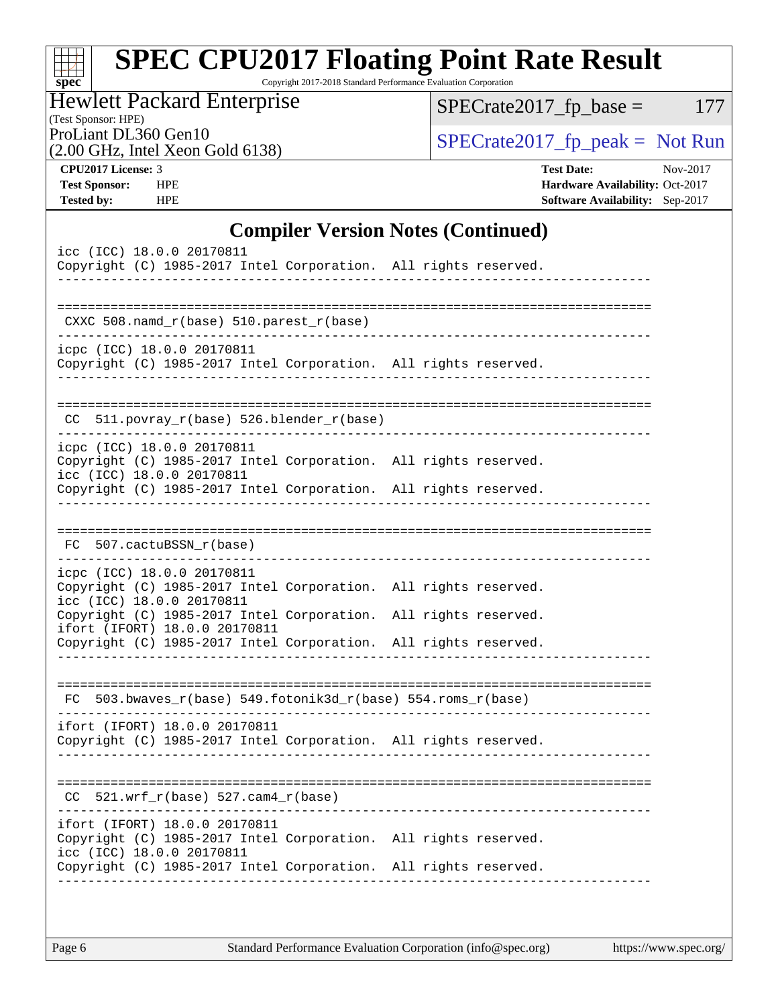| <b>Hewlett Packard Enterprise</b><br>(Test Sponsor: HPE)                                                                                                                                      | $SPECrate2017_fp\_base =$<br>177                                                                    |
|-----------------------------------------------------------------------------------------------------------------------------------------------------------------------------------------------|-----------------------------------------------------------------------------------------------------|
| ProLiant DL360 Gen10<br>(2.00 GHz, Intel Xeon Gold 6138)                                                                                                                                      | $SPECrate2017_fp\_peak = Not Run$                                                                   |
| CPU2017 License: 3<br><b>Test Sponsor:</b><br><b>HPE</b><br><b>Tested by:</b><br><b>HPE</b>                                                                                                   | <b>Test Date:</b><br>Nov-2017<br>Hardware Availability: Oct-2017<br>Software Availability: Sep-2017 |
| <b>Compiler Version Notes (Continued)</b>                                                                                                                                                     |                                                                                                     |
| icc (ICC) 18.0.0 20170811<br>Copyright (C) 1985-2017 Intel Corporation. All rights reserved.                                                                                                  |                                                                                                     |
| CXXC $508.namd_r(base) 510.parest_r(base)$                                                                                                                                                    |                                                                                                     |
| icpc (ICC) 18.0.0 20170811<br>Copyright (C) 1985-2017 Intel Corporation. All rights reserved.                                                                                                 |                                                                                                     |
| 511.povray_r(base) 526.blender_r(base)<br>CC.                                                                                                                                                 |                                                                                                     |
| icpc (ICC) 18.0.0 20170811<br>Copyright (C) 1985-2017 Intel Corporation. All rights reserved.<br>icc (ICC) 18.0.0 20170811<br>Copyright (C) 1985-2017 Intel Corporation. All rights reserved. |                                                                                                     |
| FC 507.cactuBSSN_r(base)                                                                                                                                                                      |                                                                                                     |
| icpc (ICC) 18.0.0 20170811                                                                                                                                                                    |                                                                                                     |
| Copyright (C) 1985-2017 Intel Corporation. All rights reserved.<br>icc (ICC) 18.0.0 20170811                                                                                                  |                                                                                                     |
| Copyright (C) 1985-2017 Intel Corporation. All rights reserved.<br>ifort (IFORT) 18.0.0 20170811<br>Copyright (C) 1985-2017 Intel Corporation. All rights reserved.                           |                                                                                                     |

----------------------------------------------------------------------------- ifort (IFORT) 18.0.0 20170811 Copyright (C) 1985-2017 Intel Corporation. All rights reserved.

------------------------------------------------------------------------------

============================================================================== CC 521.wrf\_r(base) 527.cam4\_r(base)

----------------------------------------------------------------------------- ifort (IFORT) 18.0.0 20170811 Copyright (C) 1985-2017 Intel Corporation. All rights reserved. icc (ICC) 18.0.0 20170811 Copyright (C) 1985-2017 Intel Corporation. All rights reserved. ------------------------------------------------------------------------------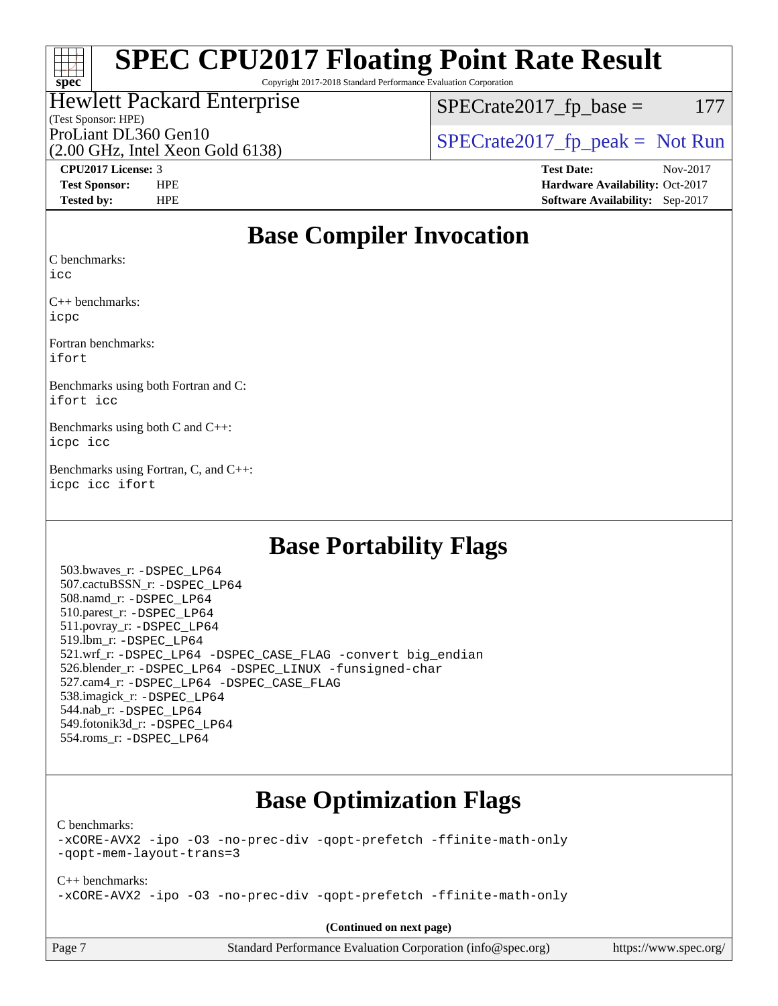#### $\pm\pm\tau$ **[spec](http://www.spec.org/)**

# **[SPEC CPU2017 Floating Point Rate Result](http://www.spec.org/auto/cpu2017/Docs/result-fields.html#SPECCPU2017FloatingPointRateResult)**

Copyright 2017-2018 Standard Performance Evaluation Corporation

## Hewlett Packard Enterprise

 $SPECTate2017<sub>fr</sub> base = 177$ 

## (Test Sponsor: HPE)

(2.00 GHz, Intel Xeon Gold 6138)

ProLiant DL360 Gen10<br>  $\begin{array}{r} \text{SPECrate2017\_fp\_peak = Not Run} \\ \text{SPECrate2017\_fp\_peak = Not Run} \end{array}$ 

**[CPU2017 License:](http://www.spec.org/auto/cpu2017/Docs/result-fields.html#CPU2017License)** 3 **[Test Date:](http://www.spec.org/auto/cpu2017/Docs/result-fields.html#TestDate)** Nov-2017 **[Test Sponsor:](http://www.spec.org/auto/cpu2017/Docs/result-fields.html#TestSponsor)** HPE **[Hardware Availability:](http://www.spec.org/auto/cpu2017/Docs/result-fields.html#HardwareAvailability)** Oct-2017 **[Tested by:](http://www.spec.org/auto/cpu2017/Docs/result-fields.html#Testedby)** HPE **[Software Availability:](http://www.spec.org/auto/cpu2017/Docs/result-fields.html#SoftwareAvailability)** Sep-2017

### **[Base Compiler Invocation](http://www.spec.org/auto/cpu2017/Docs/result-fields.html#BaseCompilerInvocation)**

[C benchmarks](http://www.spec.org/auto/cpu2017/Docs/result-fields.html#Cbenchmarks):

[icc](http://www.spec.org/cpu2017/results/res2017q4/cpu2017-20171114-00797.flags.html#user_CCbase_intel_icc_18.0_66fc1ee009f7361af1fbd72ca7dcefbb700085f36577c54f309893dd4ec40d12360134090235512931783d35fd58c0460139e722d5067c5574d8eaf2b3e37e92)

[C++ benchmarks:](http://www.spec.org/auto/cpu2017/Docs/result-fields.html#CXXbenchmarks) [icpc](http://www.spec.org/cpu2017/results/res2017q4/cpu2017-20171114-00797.flags.html#user_CXXbase_intel_icpc_18.0_c510b6838c7f56d33e37e94d029a35b4a7bccf4766a728ee175e80a419847e808290a9b78be685c44ab727ea267ec2f070ec5dc83b407c0218cded6866a35d07)

[Fortran benchmarks:](http://www.spec.org/auto/cpu2017/Docs/result-fields.html#Fortranbenchmarks) [ifort](http://www.spec.org/cpu2017/results/res2017q4/cpu2017-20171114-00797.flags.html#user_FCbase_intel_ifort_18.0_8111460550e3ca792625aed983ce982f94888b8b503583aa7ba2b8303487b4d8a21a13e7191a45c5fd58ff318f48f9492884d4413fa793fd88dd292cad7027ca)

[Benchmarks using both Fortran and C](http://www.spec.org/auto/cpu2017/Docs/result-fields.html#BenchmarksusingbothFortranandC): [ifort](http://www.spec.org/cpu2017/results/res2017q4/cpu2017-20171114-00797.flags.html#user_CC_FCbase_intel_ifort_18.0_8111460550e3ca792625aed983ce982f94888b8b503583aa7ba2b8303487b4d8a21a13e7191a45c5fd58ff318f48f9492884d4413fa793fd88dd292cad7027ca) [icc](http://www.spec.org/cpu2017/results/res2017q4/cpu2017-20171114-00797.flags.html#user_CC_FCbase_intel_icc_18.0_66fc1ee009f7361af1fbd72ca7dcefbb700085f36577c54f309893dd4ec40d12360134090235512931783d35fd58c0460139e722d5067c5574d8eaf2b3e37e92)

[Benchmarks using both C and C++:](http://www.spec.org/auto/cpu2017/Docs/result-fields.html#BenchmarksusingbothCandCXX) [icpc](http://www.spec.org/cpu2017/results/res2017q4/cpu2017-20171114-00797.flags.html#user_CC_CXXbase_intel_icpc_18.0_c510b6838c7f56d33e37e94d029a35b4a7bccf4766a728ee175e80a419847e808290a9b78be685c44ab727ea267ec2f070ec5dc83b407c0218cded6866a35d07) [icc](http://www.spec.org/cpu2017/results/res2017q4/cpu2017-20171114-00797.flags.html#user_CC_CXXbase_intel_icc_18.0_66fc1ee009f7361af1fbd72ca7dcefbb700085f36577c54f309893dd4ec40d12360134090235512931783d35fd58c0460139e722d5067c5574d8eaf2b3e37e92)

[Benchmarks using Fortran, C, and C++](http://www.spec.org/auto/cpu2017/Docs/result-fields.html#BenchmarksusingFortranCandCXX): [icpc](http://www.spec.org/cpu2017/results/res2017q4/cpu2017-20171114-00797.flags.html#user_CC_CXX_FCbase_intel_icpc_18.0_c510b6838c7f56d33e37e94d029a35b4a7bccf4766a728ee175e80a419847e808290a9b78be685c44ab727ea267ec2f070ec5dc83b407c0218cded6866a35d07) [icc](http://www.spec.org/cpu2017/results/res2017q4/cpu2017-20171114-00797.flags.html#user_CC_CXX_FCbase_intel_icc_18.0_66fc1ee009f7361af1fbd72ca7dcefbb700085f36577c54f309893dd4ec40d12360134090235512931783d35fd58c0460139e722d5067c5574d8eaf2b3e37e92) [ifort](http://www.spec.org/cpu2017/results/res2017q4/cpu2017-20171114-00797.flags.html#user_CC_CXX_FCbase_intel_ifort_18.0_8111460550e3ca792625aed983ce982f94888b8b503583aa7ba2b8303487b4d8a21a13e7191a45c5fd58ff318f48f9492884d4413fa793fd88dd292cad7027ca)

### **[Base Portability Flags](http://www.spec.org/auto/cpu2017/Docs/result-fields.html#BasePortabilityFlags)**

 503.bwaves\_r: [-DSPEC\\_LP64](http://www.spec.org/cpu2017/results/res2017q4/cpu2017-20171114-00797.flags.html#suite_basePORTABILITY503_bwaves_r_DSPEC_LP64) 507.cactuBSSN\_r: [-DSPEC\\_LP64](http://www.spec.org/cpu2017/results/res2017q4/cpu2017-20171114-00797.flags.html#suite_basePORTABILITY507_cactuBSSN_r_DSPEC_LP64) 508.namd\_r: [-DSPEC\\_LP64](http://www.spec.org/cpu2017/results/res2017q4/cpu2017-20171114-00797.flags.html#suite_basePORTABILITY508_namd_r_DSPEC_LP64) 510.parest\_r: [-DSPEC\\_LP64](http://www.spec.org/cpu2017/results/res2017q4/cpu2017-20171114-00797.flags.html#suite_basePORTABILITY510_parest_r_DSPEC_LP64) 511.povray\_r: [-DSPEC\\_LP64](http://www.spec.org/cpu2017/results/res2017q4/cpu2017-20171114-00797.flags.html#suite_basePORTABILITY511_povray_r_DSPEC_LP64) 519.lbm\_r: [-DSPEC\\_LP64](http://www.spec.org/cpu2017/results/res2017q4/cpu2017-20171114-00797.flags.html#suite_basePORTABILITY519_lbm_r_DSPEC_LP64) 521.wrf\_r: [-DSPEC\\_LP64](http://www.spec.org/cpu2017/results/res2017q4/cpu2017-20171114-00797.flags.html#suite_basePORTABILITY521_wrf_r_DSPEC_LP64) [-DSPEC\\_CASE\\_FLAG](http://www.spec.org/cpu2017/results/res2017q4/cpu2017-20171114-00797.flags.html#b521.wrf_r_baseCPORTABILITY_DSPEC_CASE_FLAG) [-convert big\\_endian](http://www.spec.org/cpu2017/results/res2017q4/cpu2017-20171114-00797.flags.html#user_baseFPORTABILITY521_wrf_r_convert_big_endian_c3194028bc08c63ac5d04de18c48ce6d347e4e562e8892b8bdbdc0214820426deb8554edfa529a3fb25a586e65a3d812c835984020483e7e73212c4d31a38223) 526.blender\_r: [-DSPEC\\_LP64](http://www.spec.org/cpu2017/results/res2017q4/cpu2017-20171114-00797.flags.html#suite_basePORTABILITY526_blender_r_DSPEC_LP64) [-DSPEC\\_LINUX](http://www.spec.org/cpu2017/results/res2017q4/cpu2017-20171114-00797.flags.html#b526.blender_r_baseCPORTABILITY_DSPEC_LINUX) [-funsigned-char](http://www.spec.org/cpu2017/results/res2017q4/cpu2017-20171114-00797.flags.html#user_baseCPORTABILITY526_blender_r_force_uchar_40c60f00ab013830e2dd6774aeded3ff59883ba5a1fc5fc14077f794d777847726e2a5858cbc7672e36e1b067e7e5c1d9a74f7176df07886a243d7cc18edfe67) 527.cam4\_r: [-DSPEC\\_LP64](http://www.spec.org/cpu2017/results/res2017q4/cpu2017-20171114-00797.flags.html#suite_basePORTABILITY527_cam4_r_DSPEC_LP64) [-DSPEC\\_CASE\\_FLAG](http://www.spec.org/cpu2017/results/res2017q4/cpu2017-20171114-00797.flags.html#b527.cam4_r_baseCPORTABILITY_DSPEC_CASE_FLAG) 538.imagick\_r: [-DSPEC\\_LP64](http://www.spec.org/cpu2017/results/res2017q4/cpu2017-20171114-00797.flags.html#suite_basePORTABILITY538_imagick_r_DSPEC_LP64) 544.nab\_r: [-DSPEC\\_LP64](http://www.spec.org/cpu2017/results/res2017q4/cpu2017-20171114-00797.flags.html#suite_basePORTABILITY544_nab_r_DSPEC_LP64) 549.fotonik3d\_r: [-DSPEC\\_LP64](http://www.spec.org/cpu2017/results/res2017q4/cpu2017-20171114-00797.flags.html#suite_basePORTABILITY549_fotonik3d_r_DSPEC_LP64) 554.roms\_r: [-DSPEC\\_LP64](http://www.spec.org/cpu2017/results/res2017q4/cpu2017-20171114-00797.flags.html#suite_basePORTABILITY554_roms_r_DSPEC_LP64)

## **[Base Optimization Flags](http://www.spec.org/auto/cpu2017/Docs/result-fields.html#BaseOptimizationFlags)**

[C benchmarks](http://www.spec.org/auto/cpu2017/Docs/result-fields.html#Cbenchmarks):

[-xCORE-AVX2](http://www.spec.org/cpu2017/results/res2017q4/cpu2017-20171114-00797.flags.html#user_CCbase_f-xCORE-AVX2) [-ipo](http://www.spec.org/cpu2017/results/res2017q4/cpu2017-20171114-00797.flags.html#user_CCbase_f-ipo) [-O3](http://www.spec.org/cpu2017/results/res2017q4/cpu2017-20171114-00797.flags.html#user_CCbase_f-O3) [-no-prec-div](http://www.spec.org/cpu2017/results/res2017q4/cpu2017-20171114-00797.flags.html#user_CCbase_f-no-prec-div) [-qopt-prefetch](http://www.spec.org/cpu2017/results/res2017q4/cpu2017-20171114-00797.flags.html#user_CCbase_f-qopt-prefetch) [-ffinite-math-only](http://www.spec.org/cpu2017/results/res2017q4/cpu2017-20171114-00797.flags.html#user_CCbase_f_finite_math_only_cb91587bd2077682c4b38af759c288ed7c732db004271a9512da14a4f8007909a5f1427ecbf1a0fb78ff2a814402c6114ac565ca162485bbcae155b5e4258871) [-qopt-mem-layout-trans=3](http://www.spec.org/cpu2017/results/res2017q4/cpu2017-20171114-00797.flags.html#user_CCbase_f-qopt-mem-layout-trans_de80db37974c74b1f0e20d883f0b675c88c3b01e9d123adea9b28688d64333345fb62bc4a798493513fdb68f60282f9a726aa07f478b2f7113531aecce732043)

[C++ benchmarks:](http://www.spec.org/auto/cpu2017/Docs/result-fields.html#CXXbenchmarks) [-xCORE-AVX2](http://www.spec.org/cpu2017/results/res2017q4/cpu2017-20171114-00797.flags.html#user_CXXbase_f-xCORE-AVX2) [-ipo](http://www.spec.org/cpu2017/results/res2017q4/cpu2017-20171114-00797.flags.html#user_CXXbase_f-ipo) [-O3](http://www.spec.org/cpu2017/results/res2017q4/cpu2017-20171114-00797.flags.html#user_CXXbase_f-O3) [-no-prec-div](http://www.spec.org/cpu2017/results/res2017q4/cpu2017-20171114-00797.flags.html#user_CXXbase_f-no-prec-div) [-qopt-prefetch](http://www.spec.org/cpu2017/results/res2017q4/cpu2017-20171114-00797.flags.html#user_CXXbase_f-qopt-prefetch) [-ffinite-math-only](http://www.spec.org/cpu2017/results/res2017q4/cpu2017-20171114-00797.flags.html#user_CXXbase_f_finite_math_only_cb91587bd2077682c4b38af759c288ed7c732db004271a9512da14a4f8007909a5f1427ecbf1a0fb78ff2a814402c6114ac565ca162485bbcae155b5e4258871)

**(Continued on next page)**

| Page 7 | <b>Standard Performance Evaluation Corporation</b> |  |
|--------|----------------------------------------------------|--|
|--------|----------------------------------------------------|--|

n [\(info@spec.org\)](mailto:info@spec.org) <https://www.spec.org/>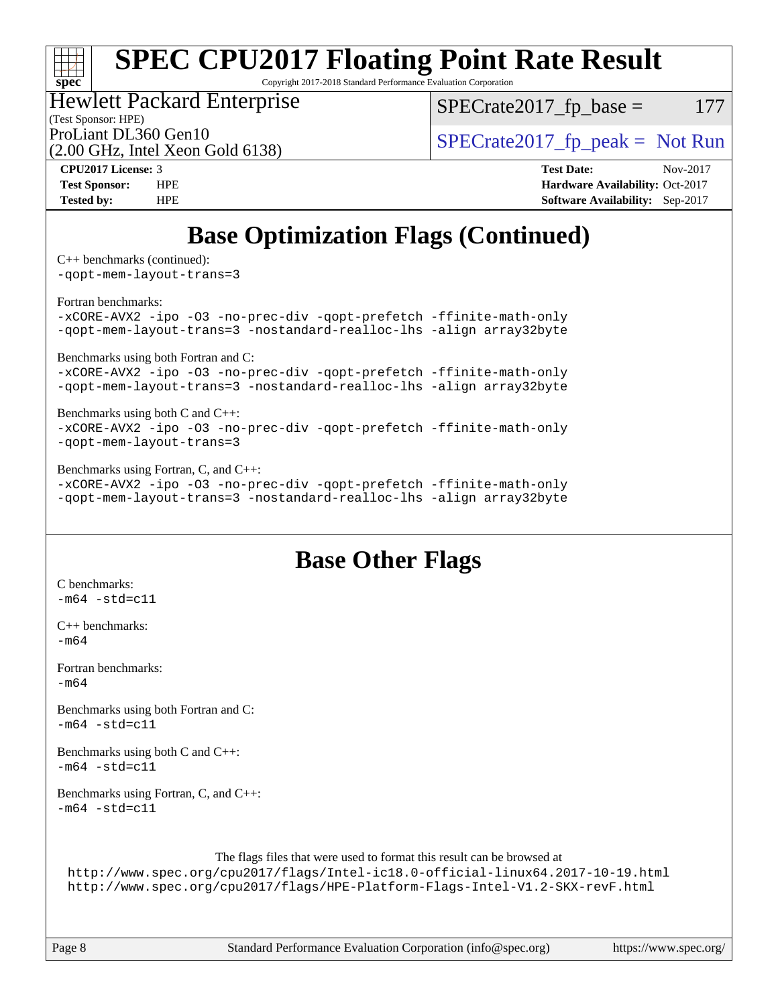# **[spec](http://www.spec.org/)**

# **[SPEC CPU2017 Floating Point Rate Result](http://www.spec.org/auto/cpu2017/Docs/result-fields.html#SPECCPU2017FloatingPointRateResult)**

Copyright 2017-2018 Standard Performance Evaluation Corporation

### Hewlett Packard Enterprise

(2.00 GHz, Intel Xeon Gold 6138)

 $SPECTate2017<sub>fr</sub> base = 177$ 

(Test Sponsor: HPE)

ProLiant DL360 Gen10  $SPECTR_{129}$  [SPECrate2017\\_fp\\_peak =](http://www.spec.org/auto/cpu2017/Docs/result-fields.html#SPECrate2017fppeak) Not Run

**[CPU2017 License:](http://www.spec.org/auto/cpu2017/Docs/result-fields.html#CPU2017License)** 3 **[Test Date:](http://www.spec.org/auto/cpu2017/Docs/result-fields.html#TestDate)** Nov-2017 **[Test Sponsor:](http://www.spec.org/auto/cpu2017/Docs/result-fields.html#TestSponsor)** HPE **[Hardware Availability:](http://www.spec.org/auto/cpu2017/Docs/result-fields.html#HardwareAvailability)** Oct-2017 **[Tested by:](http://www.spec.org/auto/cpu2017/Docs/result-fields.html#Testedby)** HPE **[Software Availability:](http://www.spec.org/auto/cpu2017/Docs/result-fields.html#SoftwareAvailability)** Sep-2017

## **[Base Optimization Flags \(Continued\)](http://www.spec.org/auto/cpu2017/Docs/result-fields.html#BaseOptimizationFlags)**

[C++ benchmarks](http://www.spec.org/auto/cpu2017/Docs/result-fields.html#CXXbenchmarks) (continued):

[-qopt-mem-layout-trans=3](http://www.spec.org/cpu2017/results/res2017q4/cpu2017-20171114-00797.flags.html#user_CXXbase_f-qopt-mem-layout-trans_de80db37974c74b1f0e20d883f0b675c88c3b01e9d123adea9b28688d64333345fb62bc4a798493513fdb68f60282f9a726aa07f478b2f7113531aecce732043)

[Fortran benchmarks](http://www.spec.org/auto/cpu2017/Docs/result-fields.html#Fortranbenchmarks):

[-xCORE-AVX2](http://www.spec.org/cpu2017/results/res2017q4/cpu2017-20171114-00797.flags.html#user_FCbase_f-xCORE-AVX2) [-ipo](http://www.spec.org/cpu2017/results/res2017q4/cpu2017-20171114-00797.flags.html#user_FCbase_f-ipo) [-O3](http://www.spec.org/cpu2017/results/res2017q4/cpu2017-20171114-00797.flags.html#user_FCbase_f-O3) [-no-prec-div](http://www.spec.org/cpu2017/results/res2017q4/cpu2017-20171114-00797.flags.html#user_FCbase_f-no-prec-div) [-qopt-prefetch](http://www.spec.org/cpu2017/results/res2017q4/cpu2017-20171114-00797.flags.html#user_FCbase_f-qopt-prefetch) [-ffinite-math-only](http://www.spec.org/cpu2017/results/res2017q4/cpu2017-20171114-00797.flags.html#user_FCbase_f_finite_math_only_cb91587bd2077682c4b38af759c288ed7c732db004271a9512da14a4f8007909a5f1427ecbf1a0fb78ff2a814402c6114ac565ca162485bbcae155b5e4258871) [-qopt-mem-layout-trans=3](http://www.spec.org/cpu2017/results/res2017q4/cpu2017-20171114-00797.flags.html#user_FCbase_f-qopt-mem-layout-trans_de80db37974c74b1f0e20d883f0b675c88c3b01e9d123adea9b28688d64333345fb62bc4a798493513fdb68f60282f9a726aa07f478b2f7113531aecce732043) [-nostandard-realloc-lhs](http://www.spec.org/cpu2017/results/res2017q4/cpu2017-20171114-00797.flags.html#user_FCbase_f_2003_std_realloc_82b4557e90729c0f113870c07e44d33d6f5a304b4f63d4c15d2d0f1fab99f5daaed73bdb9275d9ae411527f28b936061aa8b9c8f2d63842963b95c9dd6426b8a) [-align array32byte](http://www.spec.org/cpu2017/results/res2017q4/cpu2017-20171114-00797.flags.html#user_FCbase_align_array32byte_b982fe038af199962ba9a80c053b8342c548c85b40b8e86eb3cc33dee0d7986a4af373ac2d51c3f7cf710a18d62fdce2948f201cd044323541f22fc0fffc51b6)

[Benchmarks using both Fortran and C](http://www.spec.org/auto/cpu2017/Docs/result-fields.html#BenchmarksusingbothFortranandC):

[-xCORE-AVX2](http://www.spec.org/cpu2017/results/res2017q4/cpu2017-20171114-00797.flags.html#user_CC_FCbase_f-xCORE-AVX2) [-ipo](http://www.spec.org/cpu2017/results/res2017q4/cpu2017-20171114-00797.flags.html#user_CC_FCbase_f-ipo) [-O3](http://www.spec.org/cpu2017/results/res2017q4/cpu2017-20171114-00797.flags.html#user_CC_FCbase_f-O3) [-no-prec-div](http://www.spec.org/cpu2017/results/res2017q4/cpu2017-20171114-00797.flags.html#user_CC_FCbase_f-no-prec-div) [-qopt-prefetch](http://www.spec.org/cpu2017/results/res2017q4/cpu2017-20171114-00797.flags.html#user_CC_FCbase_f-qopt-prefetch) [-ffinite-math-only](http://www.spec.org/cpu2017/results/res2017q4/cpu2017-20171114-00797.flags.html#user_CC_FCbase_f_finite_math_only_cb91587bd2077682c4b38af759c288ed7c732db004271a9512da14a4f8007909a5f1427ecbf1a0fb78ff2a814402c6114ac565ca162485bbcae155b5e4258871) [-qopt-mem-layout-trans=3](http://www.spec.org/cpu2017/results/res2017q4/cpu2017-20171114-00797.flags.html#user_CC_FCbase_f-qopt-mem-layout-trans_de80db37974c74b1f0e20d883f0b675c88c3b01e9d123adea9b28688d64333345fb62bc4a798493513fdb68f60282f9a726aa07f478b2f7113531aecce732043) [-nostandard-realloc-lhs](http://www.spec.org/cpu2017/results/res2017q4/cpu2017-20171114-00797.flags.html#user_CC_FCbase_f_2003_std_realloc_82b4557e90729c0f113870c07e44d33d6f5a304b4f63d4c15d2d0f1fab99f5daaed73bdb9275d9ae411527f28b936061aa8b9c8f2d63842963b95c9dd6426b8a) [-align array32byte](http://www.spec.org/cpu2017/results/res2017q4/cpu2017-20171114-00797.flags.html#user_CC_FCbase_align_array32byte_b982fe038af199962ba9a80c053b8342c548c85b40b8e86eb3cc33dee0d7986a4af373ac2d51c3f7cf710a18d62fdce2948f201cd044323541f22fc0fffc51b6)

[Benchmarks using both C and C++](http://www.spec.org/auto/cpu2017/Docs/result-fields.html#BenchmarksusingbothCandCXX):

[-xCORE-AVX2](http://www.spec.org/cpu2017/results/res2017q4/cpu2017-20171114-00797.flags.html#user_CC_CXXbase_f-xCORE-AVX2) [-ipo](http://www.spec.org/cpu2017/results/res2017q4/cpu2017-20171114-00797.flags.html#user_CC_CXXbase_f-ipo) [-O3](http://www.spec.org/cpu2017/results/res2017q4/cpu2017-20171114-00797.flags.html#user_CC_CXXbase_f-O3) [-no-prec-div](http://www.spec.org/cpu2017/results/res2017q4/cpu2017-20171114-00797.flags.html#user_CC_CXXbase_f-no-prec-div) [-qopt-prefetch](http://www.spec.org/cpu2017/results/res2017q4/cpu2017-20171114-00797.flags.html#user_CC_CXXbase_f-qopt-prefetch) [-ffinite-math-only](http://www.spec.org/cpu2017/results/res2017q4/cpu2017-20171114-00797.flags.html#user_CC_CXXbase_f_finite_math_only_cb91587bd2077682c4b38af759c288ed7c732db004271a9512da14a4f8007909a5f1427ecbf1a0fb78ff2a814402c6114ac565ca162485bbcae155b5e4258871) [-qopt-mem-layout-trans=3](http://www.spec.org/cpu2017/results/res2017q4/cpu2017-20171114-00797.flags.html#user_CC_CXXbase_f-qopt-mem-layout-trans_de80db37974c74b1f0e20d883f0b675c88c3b01e9d123adea9b28688d64333345fb62bc4a798493513fdb68f60282f9a726aa07f478b2f7113531aecce732043)

[Benchmarks using Fortran, C, and C++:](http://www.spec.org/auto/cpu2017/Docs/result-fields.html#BenchmarksusingFortranCandCXX)

[-xCORE-AVX2](http://www.spec.org/cpu2017/results/res2017q4/cpu2017-20171114-00797.flags.html#user_CC_CXX_FCbase_f-xCORE-AVX2) [-ipo](http://www.spec.org/cpu2017/results/res2017q4/cpu2017-20171114-00797.flags.html#user_CC_CXX_FCbase_f-ipo) [-O3](http://www.spec.org/cpu2017/results/res2017q4/cpu2017-20171114-00797.flags.html#user_CC_CXX_FCbase_f-O3) [-no-prec-div](http://www.spec.org/cpu2017/results/res2017q4/cpu2017-20171114-00797.flags.html#user_CC_CXX_FCbase_f-no-prec-div) [-qopt-prefetch](http://www.spec.org/cpu2017/results/res2017q4/cpu2017-20171114-00797.flags.html#user_CC_CXX_FCbase_f-qopt-prefetch) [-ffinite-math-only](http://www.spec.org/cpu2017/results/res2017q4/cpu2017-20171114-00797.flags.html#user_CC_CXX_FCbase_f_finite_math_only_cb91587bd2077682c4b38af759c288ed7c732db004271a9512da14a4f8007909a5f1427ecbf1a0fb78ff2a814402c6114ac565ca162485bbcae155b5e4258871) [-qopt-mem-layout-trans=3](http://www.spec.org/cpu2017/results/res2017q4/cpu2017-20171114-00797.flags.html#user_CC_CXX_FCbase_f-qopt-mem-layout-trans_de80db37974c74b1f0e20d883f0b675c88c3b01e9d123adea9b28688d64333345fb62bc4a798493513fdb68f60282f9a726aa07f478b2f7113531aecce732043) [-nostandard-realloc-lhs](http://www.spec.org/cpu2017/results/res2017q4/cpu2017-20171114-00797.flags.html#user_CC_CXX_FCbase_f_2003_std_realloc_82b4557e90729c0f113870c07e44d33d6f5a304b4f63d4c15d2d0f1fab99f5daaed73bdb9275d9ae411527f28b936061aa8b9c8f2d63842963b95c9dd6426b8a) [-align array32byte](http://www.spec.org/cpu2017/results/res2017q4/cpu2017-20171114-00797.flags.html#user_CC_CXX_FCbase_align_array32byte_b982fe038af199962ba9a80c053b8342c548c85b40b8e86eb3cc33dee0d7986a4af373ac2d51c3f7cf710a18d62fdce2948f201cd044323541f22fc0fffc51b6)

### **[Base Other Flags](http://www.spec.org/auto/cpu2017/Docs/result-fields.html#BaseOtherFlags)**

[C benchmarks](http://www.spec.org/auto/cpu2017/Docs/result-fields.html#Cbenchmarks):  $-m64 - std = c11$  $-m64 - std = c11$ [C++ benchmarks:](http://www.spec.org/auto/cpu2017/Docs/result-fields.html#CXXbenchmarks) [-m64](http://www.spec.org/cpu2017/results/res2017q4/cpu2017-20171114-00797.flags.html#user_CXXbase_intel_intel64_18.0_af43caccfc8ded86e7699f2159af6efc7655f51387b94da716254467f3c01020a5059329e2569e4053f409e7c9202a7efc638f7a6d1ffb3f52dea4a3e31d82ab) [Fortran benchmarks](http://www.spec.org/auto/cpu2017/Docs/result-fields.html#Fortranbenchmarks):  $-m64$ [Benchmarks using both Fortran and C](http://www.spec.org/auto/cpu2017/Docs/result-fields.html#BenchmarksusingbothFortranandC):  $-m64 - std = c11$  $-m64 - std = c11$ [Benchmarks using both C and C++](http://www.spec.org/auto/cpu2017/Docs/result-fields.html#BenchmarksusingbothCandCXX):  $-m64 - std= c11$  $-m64 - std= c11$ [Benchmarks using Fortran, C, and C++:](http://www.spec.org/auto/cpu2017/Docs/result-fields.html#BenchmarksusingFortranCandCXX)  $-m64 - std= c11$  $-m64 - std= c11$ The flags files that were used to format this result can be browsed at <http://www.spec.org/cpu2017/flags/Intel-ic18.0-official-linux64.2017-10-19.html>

<http://www.spec.org/cpu2017/flags/HPE-Platform-Flags-Intel-V1.2-SKX-revF.html>